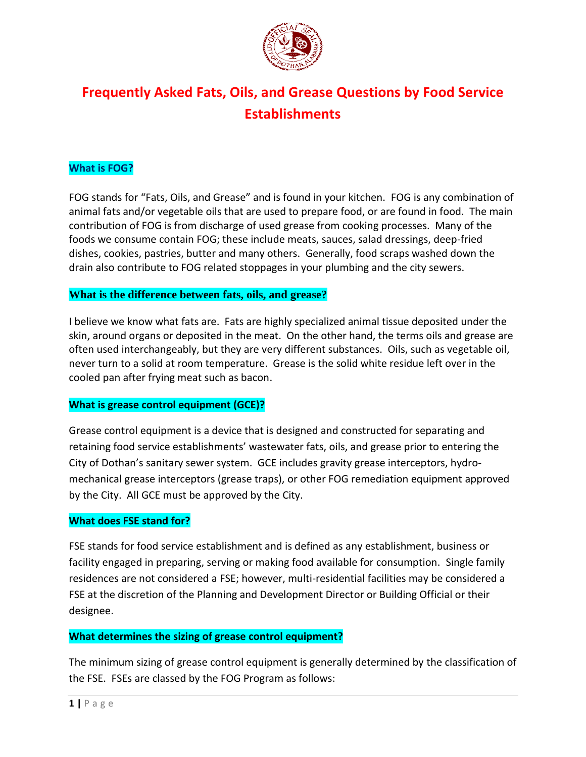

# **Frequently Asked Fats, Oils, and Grease Questions by Food Service Establishments**

## **What is FOG?**

FOG stands for "Fats, Oils, and Grease" and is found in your kitchen. FOG is any combination of animal fats and/or vegetable oils that are used to prepare food, or are found in food. The main contribution of FOG is from discharge of used grease from cooking processes. Many of the foods we consume contain FOG; these include meats, sauces, salad dressings, deep-fried dishes, cookies, pastries, butter and many others. Generally, food scraps washed down the drain also contribute to FOG related stoppages in your plumbing and the city sewers.

### **What is the difference between fats, oils, and grease?**

I believe we know what fats are. Fats are highly specialized animal tissue deposited under the skin, around organs or deposited in the meat. On the other hand, the terms oils and grease are often used interchangeably, but they are very different substances. Oils, such as vegetable oil, never turn to a solid at room temperature. Grease is the solid white residue left over in the cooled pan after frying meat such as bacon.

### **What is grease control equipment (GCE)?**

Grease control equipment is a device that is designed and constructed for separating and retaining food service establishments' wastewater fats, oils, and grease prior to entering the City of Dothan's sanitary sewer system. GCE includes gravity grease interceptors, hydromechanical grease interceptors (grease traps), or other FOG remediation equipment approved by the City. All GCE must be approved by the City.

### **What does FSE stand for?**

FSE stands for food service establishment and is defined as any establishment, business or facility engaged in preparing, serving or making food available for consumption. Single family residences are not considered a FSE; however, multi-residential facilities may be considered a FSE at the discretion of the Planning and Development Director or Building Official or their designee.

### **What determines the sizing of grease control equipment?**

The minimum sizing of grease control equipment is generally determined by the classification of the FSE. FSEs are classed by the FOG Program as follows: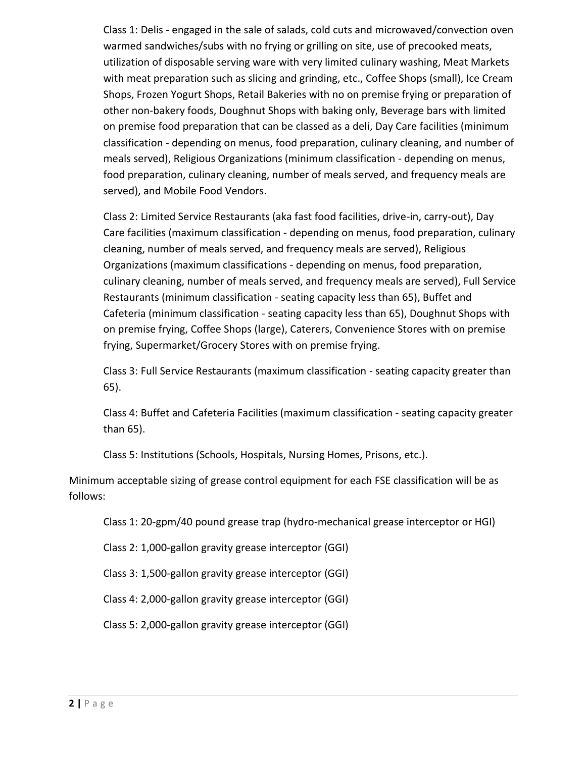Class 1: Delis - engaged in the sale of salads, cold cuts and microwaved/convection oven warmed sandwiches/subs with no frying or grilling on site, use of precooked meats, utilization of disposable serving ware with very limited culinary washing, Meat Markets with meat preparation such as slicing and grinding, etc., Coffee Shops (small), Ice Cream Shops, Frozen Yogurt Shops, Retail Bakeries with no on premise frying or preparation of other non-bakery foods, Doughnut Shops with baking only, Beverage bars with limited on premise food preparation that can be classed as a deli, Day Care facilities (minimum classification - depending on menus, food preparation, culinary cleaning, and number of meals served), Religious Organizations (minimum classification - depending on menus, food preparation, culinary cleaning, number of meals served, and frequency meals are served), and Mobile Food Vendors.

Class 2: Limited Service Restaurants (aka fast food facilities, drive-in, carry-out), Day Care facilities (maximum classification - depending on menus, food preparation, culinary cleaning, number of meals served, and frequency meals are served), Religious Organizations (maximum classifications - depending on menus, food preparation, culinary cleaning, number of meals served, and frequency meals are served), Full Service Restaurants (minimum classification - seating capacity less than 65), Buffet and Cafeteria (minimum classification - seating capacity less than 65), Doughnut Shops with on premise frying, Coffee Shops (large), Caterers, Convenience Stores with on premise frying, Supermarket/Grocery Stores with on premise frying.

Class 3: Full Service Restaurants (maximum classification - seating capacity greater than 65).

Class 4: Buffet and Cafeteria Facilities (maximum classification - seating capacity greater than 65).

Class 5: Institutions (Schools, Hospitals, Nursing Homes, Prisons, etc.).

Minimum acceptable sizing of grease control equipment for each FSE classification will be as follows:

Class 1: 20-gpm/40 pound grease trap (hydro-mechanical grease interceptor or HGI)

Class 2: 1,000-gallon gravity grease interceptor (GGI)

Class 3: 1,500-gallon gravity grease interceptor (GGI)

Class 4: 2,000-gallon gravity grease interceptor (GGI)

Class 5: 2,000-gallon gravity grease interceptor (GGI)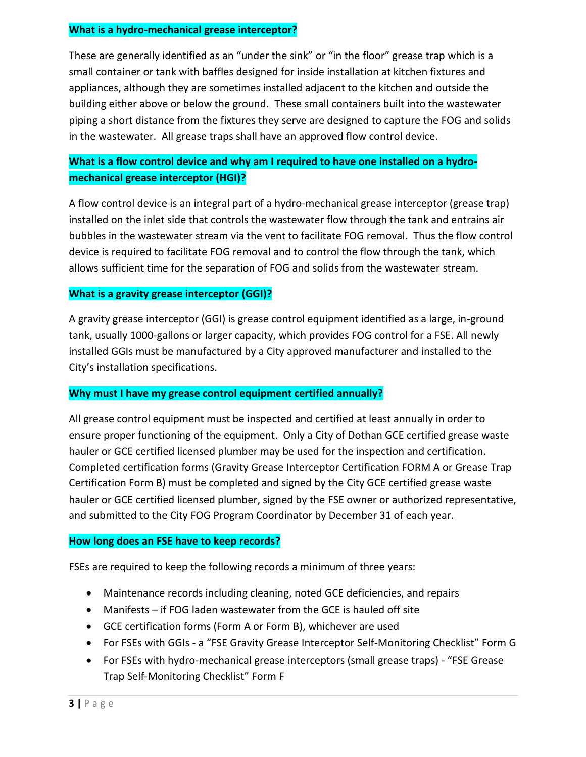### **What is a hydro-mechanical grease interceptor?**

These are generally identified as an "under the sink" or "in the floor" grease trap which is a small container or tank with baffles designed for inside installation at kitchen fixtures and appliances, although they are sometimes installed adjacent to the kitchen and outside the building either above or below the ground. These small containers built into the wastewater piping a short distance from the fixtures they serve are designed to capture the FOG and solids in the wastewater. All grease traps shall have an approved flow control device.

# **What is a flow control device and why am I required to have one installed on a hydromechanical grease interceptor (HGI)?**

A flow control device is an integral part of a hydro-mechanical grease interceptor (grease trap) installed on the inlet side that controls the wastewater flow through the tank and entrains air bubbles in the wastewater stream via the vent to facilitate FOG removal. Thus the flow control device is required to facilitate FOG removal and to control the flow through the tank, which allows sufficient time for the separation of FOG and solids from the wastewater stream.

### **What is a gravity grease interceptor (GGI)?**

A gravity grease interceptor (GGI) is grease control equipment identified as a large, in-ground tank, usually 1000-gallons or larger capacity, which provides FOG control for a FSE. All newly installed GGIs must be manufactured by a City approved manufacturer and installed to the City's installation specifications.

### **Why must I have my grease control equipment certified annually?**

All grease control equipment must be inspected and certified at least annually in order to ensure proper functioning of the equipment. Only a City of Dothan GCE certified grease waste hauler or GCE certified licensed plumber may be used for the inspection and certification. Completed certification forms (Gravity Grease Interceptor Certification FORM A or Grease Trap Certification Form B) must be completed and signed by the City GCE certified grease waste hauler or GCE certified licensed plumber, signed by the FSE owner or authorized representative, and submitted to the City FOG Program Coordinator by December 31 of each year.

### **How long does an FSE have to keep records?**

FSEs are required to keep the following records a minimum of three years:

- Maintenance records including cleaning, noted GCE deficiencies, and repairs
- Manifests if FOG laden wastewater from the GCE is hauled off site
- GCE certification forms (Form A or Form B), whichever are used
- For FSEs with GGIs a "FSE Gravity Grease Interceptor Self-Monitoring Checklist" Form G
- For FSEs with hydro-mechanical grease interceptors (small grease traps) "FSE Grease Trap Self-Monitoring Checklist" Form F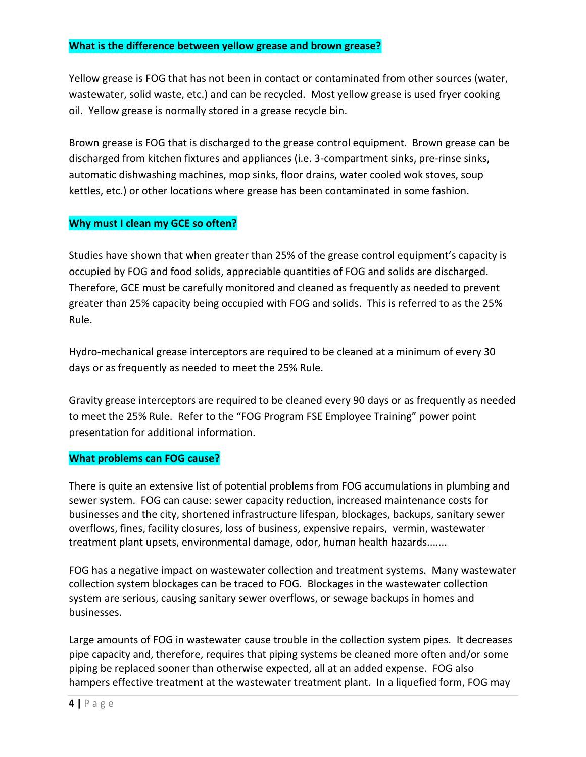### **What is the difference between yellow grease and brown grease?**

Yellow grease is FOG that has not been in contact or contaminated from other sources (water, wastewater, solid waste, etc.) and can be recycled. Most yellow grease is used fryer cooking oil. Yellow grease is normally stored in a grease recycle bin.

Brown grease is FOG that is discharged to the grease control equipment. Brown grease can be discharged from kitchen fixtures and appliances (i.e. 3-compartment sinks, pre-rinse sinks, automatic dishwashing machines, mop sinks, floor drains, water cooled wok stoves, soup kettles, etc.) or other locations where grease has been contaminated in some fashion.

### **Why must I clean my GCE so often?**

Studies have shown that when greater than 25% of the grease control equipment's capacity is occupied by FOG and food solids, appreciable quantities of FOG and solids are discharged. Therefore, GCE must be carefully monitored and cleaned as frequently as needed to prevent greater than 25% capacity being occupied with FOG and solids. This is referred to as the 25% Rule.

Hydro-mechanical grease interceptors are required to be cleaned at a minimum of every 30 days or as frequently as needed to meet the 25% Rule.

Gravity grease interceptors are required to be cleaned every 90 days or as frequently as needed to meet the 25% Rule. Refer to the "FOG Program FSE Employee Training" power point presentation for additional information.

#### **What problems can FOG cause?**

There is quite an extensive list of potential problems from FOG accumulations in plumbing and sewer system. FOG can cause: sewer capacity reduction, increased maintenance costs for businesses and the city, shortened infrastructure lifespan, blockages, backups, sanitary sewer overflows, fines, facility closures, loss of business, expensive repairs, vermin, wastewater treatment plant upsets, environmental damage, odor, human health hazards.......

FOG has a negative impact on wastewater collection and treatment systems. Many wastewater collection system blockages can be traced to FOG. Blockages in the wastewater collection system are serious, causing sanitary sewer overflows, or sewage backups in homes and businesses.

Large amounts of FOG in wastewater cause trouble in the collection system pipes. It decreases pipe capacity and, therefore, requires that piping systems be cleaned more often and/or some piping be replaced sooner than otherwise expected, all at an added expense. FOG also hampers effective treatment at the wastewater treatment plant. In a liquefied form, FOG may